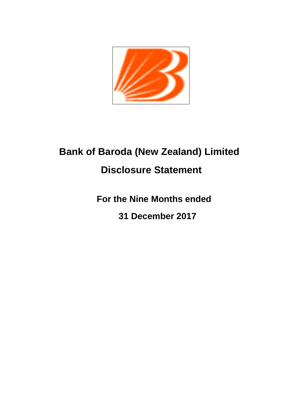

# **Bank of Baroda (New Zealand) Limited Disclosure Statement**

**For the Nine Months ended**

**31 December 2017**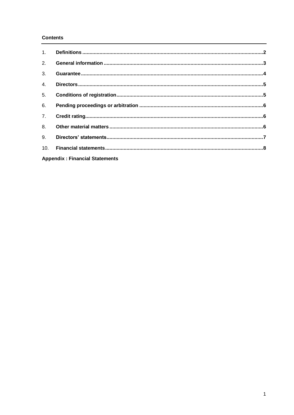# **Contents**

| 1.  |                                       |  |
|-----|---------------------------------------|--|
| 2.  |                                       |  |
| 3.  |                                       |  |
| 4.  |                                       |  |
| 5.  |                                       |  |
| 6.  |                                       |  |
| 7.  |                                       |  |
| 8.  |                                       |  |
| 9.  |                                       |  |
| 10. |                                       |  |
|     | <b>Appendix: Financial Statements</b> |  |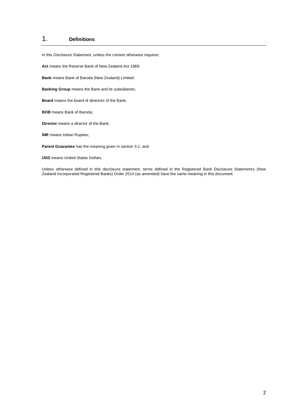# 1. **Definitions**

In this Disclosure Statement, unless the context otherwise requires:

**Act** means the Reserve Bank of New Zealand Act 1989;

**Bank** means Bank of Baroda (New Zealand) Limited;

**Banking Group** means the Bank and its subsidiaries;

**Board** means the board of directors of the Bank;

**BOB** means Bank of Baroda;

**Director** means a director of the Bank;

**INR** means Indian Rupees;

**Parent Guarantee** has the meaning given in section 3.1; and

**USD** means United States Dollars.

Unless otherwise defined in this disclosure statement, terms defined in the Registered Bank Disclosure Statements (New Zealand Incorporated Registered Banks) Order 2014 (as amended) have the same meaning in this document.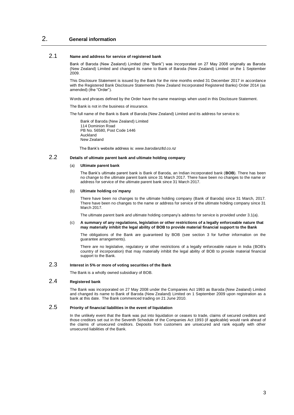# 2. **General information**

## 2.1 **Name and address for service of registered bank**

Bank of Baroda (New Zealand) Limited (the "Bank") was incorporated on 27 May 2008 originally as Baroda (New Zealand) Limited and changed its name to Bank of Baroda (New Zealand) Limited on the 1 September 2009.

This Disclosure Statement is issued by the Bank for the nine months ended 31 December 2017 in accordance with the Registered Bank Disclosure Statements (New Zealand Incorporated Registered Banks) Order 2014 (as amended) (the "Order").

Words and phrases defined by the Order have the same meanings when used in this Disclosure Statement.

The Bank is not in the business of insurance.

The full name of the Bank is Bank of Baroda (New Zealand) Limited and its address for service is:

Bank of Baroda (New Zealand) Limited 114 Dominion Road PB No. 56580, Post Code 1446 Auckland New Zealand

The Bank's website address is: *www*.*[barodanzltd.co.nz](http://www.barodanzltd.co.nz/)*

## 2.2 **Details of ultimate parent bank and ultimate holding company**

#### (a) **Ultimate parent bank**

The Bank's ultimate parent bank is Bank of Baroda, an Indian incorporated bank (**BOB**). There has been no bande to the ultimate parent bank since 31 March 2017. There have been no changes to the name or address for service of the ultimate parent bank since 31 March 2017.

#### (b) **Ultimate holding co`mpany**

There have been no changes to the ultimate holding company (Bank of Baroda) since 31 March, 2017. There have been no changes to the name or address for service of the ultimate holding company since 31 March 2017.

The ultimate parent bank and ultimate holding company's address for service is provided under 3.1(a).

#### (c) **A summary of any regulations, legislation or other restrictions of a legally enforceable nature that may materially inhibit the legal ability of BOB to provide material financial support to the Bank**

The obligations of the Bank are guaranteed by BOB (see section 3 for further information on the guarantee arrangements).

There are no legislative, regulatory or other restrictions of a legally enforceable nature in India (BOB's country of incorporation) that may materially inhibit the legal ability of BOB to provide material financial support to the Bank.

## 2.3 **Interest in 5% or more of voting securities of the Bank**

The Bank is a wholly owned subsidiary of BOB.

## 2.4 **Registered bank**

The Bank was incorporated on 27 May 2008 under the Companies Act 1993 as Baroda (New Zealand) Limited and changed its name to Bank of Baroda (New Zealand) Limited on 1 September 2009 upon registration as a bank at this date. The Bank commenced trading on 21 June 2010.

## 2.5 **Priority of financial liabilities in the event of liquidation**

In the unlikely event that the Bank was put into liquidation or ceases to trade, claims of secured creditors and those creditors set out in the Seventh Schedule of the Companies Act 1993 (if applicable) would rank ahead of the claims of unsecured creditors. Deposits from customers are unsecured and rank equally with other unsecured liabilities of the Bank.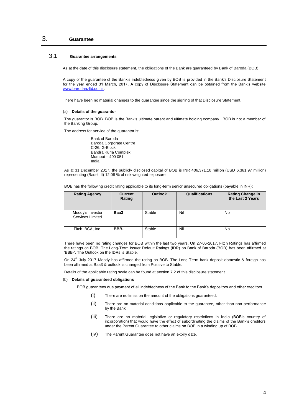# 3. **Guarantee**

## 3.1 **Guarantee arrangements**

As at the date of this disclosure statement, the obligations of the Bank are guaranteed by Bank of Baroda (BOB).

A copy of the guarantee of the Bank's indebtedness given by BOB is provided in the Bank's Disclosure Statement for the year ended 31 March, 2017. A copy of Disclosure Statement can be obtained from the Bank's website [www.barodanzltd.co.nz.](http://www.barodanzltd.co.nz/)

There have been no material changes to the guarantee since the signing of that Disclosure Statement.

#### (a) **Details of the guarantor**

The guarantor is BOB. BOB is the Bank's ultimate parent and ultimate holding company. BOB is not a member of the Banking Group.

The address for service of the guarantor is:

Bank of Baroda Baroda Corporate Centre C-26, G-Block Bandra Kurla Complex Mumbai – 400 051 India

As at 31 December 2017, the publicly disclosed capital of BOB is INR 406,371.10 million (USD 6,361.97 million) representing (Basel III) 12.08 % of risk weighted exposure.

| BOB has the following credit rating applicable to its long-term senior unsecured obligations (payable in INR): |  |  |
|----------------------------------------------------------------------------------------------------------------|--|--|
|                                                                                                                |  |  |

| <b>Rating Agency</b>                 | <b>Current</b><br>Rating | <b>Outlook</b> | Qualifications | <b>Rating Change in</b><br>the Last 2 Years |
|--------------------------------------|--------------------------|----------------|----------------|---------------------------------------------|
| Moody's Investor<br>Services Limited | Baa3                     | Stable         | Nil            | No                                          |
| Fitch IBCA, Inc.                     | BBB-                     | Stable         | Nil            | No                                          |

There have been no rating changes for BOB within the last two years. On 27-06-2017, Fitch Ratings has affirmed the ratings on BOB. The Long-Term Issuer Default Ratings (IDR) on Bank of Baroda (BOB) has been affirmed at 'BBB-'. The Outlook on the IDRs is Stable.

On 24<sup>th</sup> July 2017 Moody has affirmed the rating on BOB. The Long-Term bank deposit domestic & foreign has been affirmed at Baa3 & outlook is changed from Positive to Stable.

Details of the applicable rating scale can be found at section 7.2 of this disclosure statement.

#### (b) **Details of guaranteed obligations**

BOB guarantees due payment of all indebtedness of the Bank to the Bank's depositors and other creditors.

- (i) There are no limits on the amount of the obligations guaranteed.
- (ii) There are no material conditions applicable to the guarantee, other than non-performance by the Bank.
- (iii) There are no material legislative or regulatory restrictions in India (BOB's country of incorporation) that would have the effect of subordinating the claims of the Bank's creditors under the Parent Guarantee to other claims on BOB in a winding up of BOB.
- (iv) The Parent Guarantee does not have an expiry date.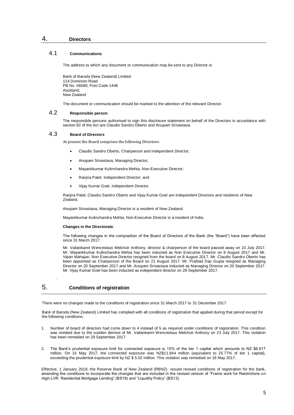## 4. **Directors**

## 4.1 **Communications**

The address to which any document or communication may be sent to any Director is:

Bank of Baroda (New Zealand) Limited 114 Dominion Road PB No. 56580, Post Code 1446 Auckland, New Zealand

The document or communication should be marked to the attention of the relevant Director.

## 4.2 **Responsible person**

The responsible persons authorised to sign this disclosure statement on behalf of the Directors in accordance with section 82 of the Act are Claudio Sandro Oberto and Anupam Srivastava.

#### 4.3 **Board of Directors**

At present the Board comprises the following Directors:

- Claudio Sandro Oberto, Chairperson and Independent Director;
- Anupam Srivastava, Managing Director;
- Mayankkumar Kulinchandra Mehta, Non-Executive Director;
- Ranjna Patel, Independent Director; and
- Vijay Kumar Goel, Independent Director.

Ranjna Patel, Claudio Sandro Oberto and Vijay Kumar Goel are independent Directors and residents of New Zealand.

Anupam Srivastava, Managing Director is a resident of New Zealand.

Mayankkumar Kulinchandra Mehta, Non-Executive Director is a resident of India.

#### **Changes in the Directorate**:

The following changes in the composition of the Board of Directors of the Bank (the "Board") have been effected since 31 March 2017:

Mr. Vailankanni Wenceslaus Melchoir Anthony, director & chairperson of the board passed away on 23 July 2017. Mr. Mayankkumar Kulinchandra Mehta has been inducted as Non Executive Director on 8 August 2017 and Mr. Vipan Mahajan, Non Executive Director resigned from the board on 8 August 2017. Mr. Claudio Sandro Oberto has been appointed as Chairperson of the Board on 21 August 2017. Mr. Prahlad Das Gupta resigned as Managing Director on 20 September 2017 and Mr. Anupam Srivastava inducted as Managing Director on 20 September 2017. Mr. Vijay Kumar Goel has been inducted as independent director on 29 September 2017.

# 5. **Conditions of registration**

.

There were no changes made to the conditions of registration since 31 March 2017 to 31 December 2017.

Bank of Baroda (New Zealand) Limited has complied with all conditions of registration that applied during that period except for the following conditions:

- 1. Number of board of directors had come down to 4 instead of 5 as required under conditions of registration. This condition was violated due to the sudden demise of Mr. Vailankanni Wenceslaus Melchoir Anthony on 23 July 2017. This violation has been remedied on 29 September 2017.
- 2. The Bank's prudential exposure limit for connected exposure is 15% of the tier 1 capital which amounts to NZ \$6.817 million. On 15 May 2017, the connected exposure was NZ\$11.844 million (equivalent to 25.77% of tier 1 capital), exceeding the prudential exposure limit by NZ \$ 5.02 million. This violation was remedied on 16 May 2017.

Effective, 1 January 2018, the Reserve Bank of New Zealand (RBNZ) issued revised conditions of registration for the bank, amending the conditions to incorporate the changes that are included in the revised version of "Frame work for Restrictions on High-LVR Residential Mortgage Lending" (BS19) and "Liquidity Policy" (BS13).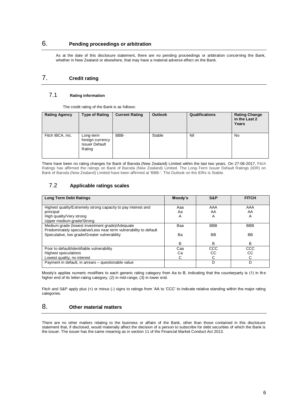# 6. **Pending proceedings or arbitration**

As at the date of this disclosure statement, there are no pending proceedings or arbitration concerning the Bank, whether in New Zealand or elsewhere, that may have a material adverse effect on the Bank.

# 7. **Credit rating**

## 7.1 **Rating information**

The credit rating of the Bank is as follows:

| <b>Rating Agency</b> | <b>Type of Rating</b>                                            | <b>Current Rating</b> | <b>Outlook</b> | Qualifications | <b>Rating Change</b><br>in the Last 2<br>Years |
|----------------------|------------------------------------------------------------------|-----------------------|----------------|----------------|------------------------------------------------|
| Fitch IBCA, Inc.     | Long-term<br>foreign currency<br><b>Issuer Default</b><br>Rating | BBB-                  | Stable         | Nil            | No                                             |

There have been no rating changes for Bank of Baroda (New Zealand) Limited within the last two years. On 27-06-2017, Fitch Ratings has affirmed the ratings on Bank of Baroda (New Zealand) Limited. The Long-Term Issuer Default Ratings (IDR) on Bank of Baroda (New Zealand) Limited have been affirmed at 'BBB-'. The Outlook on the IDRs is Stable.

# 7.2 **Applicable ratings scales**

| <b>Long Term Debt Ratings</b>                                     | Moody's | S&P        | <b>FITCH</b> |
|-------------------------------------------------------------------|---------|------------|--------------|
|                                                                   |         |            |              |
| Highest quality/Extremely strong capacity to pay interest and     | Aaa     | AAA        | AAA          |
| principal                                                         | Aa      | AA         | AA           |
| High quality/Very strong                                          | Α       | A          | A            |
| Upper medium grade/Strong                                         |         |            |              |
| Medium grade (lowest investment grade)/Adequate                   | Baa     | <b>BBB</b> | <b>BBB</b>   |
| Predominately speculative/Less near term vulnerability to default |         |            |              |
| Speculative, low grade/Greater vulnerability                      | Bа      | <b>BB</b>  | BB           |
|                                                                   |         |            |              |
|                                                                   | B       | B          | B            |
| Poor to default/identifiable vulnerability                        | Caa     | CCC        | CCC          |
| Highest speculations                                              | Cа      | CC         | СC           |
| Lowest quality, no interest                                       | C       | C          | C            |
| Payment in default, in arrears - questionable value               |         | D          | D            |

Moody's applies numeric modifiers to each generic rating category from Aa to B, indicating that the counterparty is (1) in the higher end of its letter-rating category, (2) in mid-range, (3) in lower end.

Fitch and S&P apply plus (+) or minus (-) signs to ratings from 'AA to 'CCC' to indicate relative standing within the major rating categories.

# 8. **Other material matters**

There are no other matters relating to the business or affairs of the Bank, other than those contained in this disclosure statement that, if disclosed, would materially affect the decision of a person to subscribe for debt securities of which the Bank is the issuer. The issuer has the same meaning as in section 11 of the Financial Market Conduct Act 2013.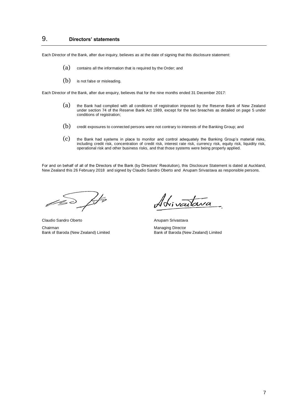# 9. **Directors' statements**

Each Director of the Bank, after due inquiry, believes as at the date of signing that this disclosure statement:

- (a) contains all the information that is required by the Order; and
- (b) is not false or misleading.

Each Director of the Bank, after due enquiry, believes that for the nine months ended 31 December 2017:

- (a) the Bank had complied with all conditions of registration imposed by the Reserve Bank of New Zealand under section 74 of the Reserve Bank Act 1989, except for the two breaches as detailed on page 5 under conditions of registration;
- (b) credit exposures to connected persons were not contrary to interests of the Banking Group; and
- (c) the Bank had systems in place to monitor and control adequately the Banking Group's material risks, including credit risk, concentration of credit risk, interest rate risk, currency risk, equity risk, liquidity risk, operational risk and other business risks, and that those systems were being properly applied.

For and on behalf of all of the Directors of the Bank (by Directors' Resolution), this Disclosure Statement is dated at Auckland, New Zealand this 26 February 2018 and signed by Claudio Sandro Oberto and Anupam Srivastava as responsible persons.

Jfs

Bank of Baroda (New Zealand) Limited

ivaTava

Claudio Sandro Oberto **Anupam Srivastava**<br>
Anupam Srivastava

Chairman Chairman<br>Bank of Baroda (New Zealand) Limited Bank of Baroda (New Zealand) Limited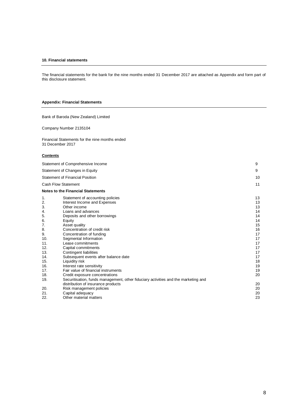#### **10. Financial statements**

The financial statements for the bank for the nine months ended 31 December 2017 are attached as Appendix and form part of this disclosure statement.

## **Appendix: Financial Statements**

Bank of Baroda (New Zealand) Limited

Company Number 2135104

Financial Statements for the nine months ended 31 December 2017

## **Contents**

|     | Statement of Comprehensive Income                                                  | 9  |
|-----|------------------------------------------------------------------------------------|----|
|     | Statement of Changes in Equity                                                     | 9  |
|     | <b>Statement of Financial Position</b>                                             | 10 |
|     | <b>Cash Flow Statement</b>                                                         | 11 |
|     | <b>Notes to the Financial Statements</b>                                           |    |
| 1.  | Statement of accounting policies                                                   | 13 |
| 2.  | Interest Income and Expenses                                                       | 13 |
| 3.  | Other income                                                                       | 13 |
| 4.  | Loans and advances                                                                 | 14 |
| 5.  | Deposits and other borrowings                                                      | 14 |
| 6.  | Equity                                                                             | 14 |
| 7.  | Asset quality                                                                      | 15 |
| 8.  | Concentration of credit risk                                                       | 16 |
| 9.  | Concentration of funding                                                           | 17 |
| 10. | Segmental Information                                                              | 17 |
| 11. | Lease commitments                                                                  | 17 |
| 12. | Capital commitments                                                                | 17 |
| 13. | <b>Contingent liabilities</b>                                                      | 17 |
| 14. | Subsequent events after balance date                                               | 17 |
| 15. | Liquidity risk                                                                     | 18 |
| 16. | Interest rate sensitivity                                                          | 19 |
| 17. | Fair value of financial instruments                                                | 19 |
| 18. | Credit exposure concentrations                                                     | 20 |
| 19. | Securitisation, funds management, other fiduciary activities and the marketing and |    |
|     | distribution of insurance products                                                 | 20 |
| 20. | Risk management policies                                                           | 20 |
| 21. | Capital adequacy                                                                   | 20 |
| 22. | Other material matters                                                             | 23 |
|     |                                                                                    |    |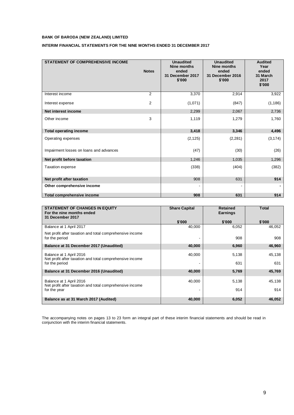## **INTERIM FINANCIAL STATEMENTS FOR THE NINE MONTHS ENDED 31 DECEMBER 2017**

| <b>STATEMENT OF COMPREHENSIVE INCOME</b> | <b>Notes</b>   | <b>Unaudited</b><br>Nine months<br>ended<br>31 December 2017<br>\$'000 | <b>Unaudited</b><br>Nine months<br>ended<br>31 December 2016<br>\$'000 | <b>Audited</b><br>Year<br>ended<br>31 March<br>2017<br>\$'000 |
|------------------------------------------|----------------|------------------------------------------------------------------------|------------------------------------------------------------------------|---------------------------------------------------------------|
| Interest income                          | 2              | 3,370                                                                  | 2,914                                                                  | 3,922                                                         |
| Interest expense                         | $\overline{2}$ | (1,071)                                                                | (847)                                                                  | (1, 186)                                                      |
| Net interest income                      |                | 2,299                                                                  | 2,067                                                                  | 2,736                                                         |
| Other income                             | 3              | 1,119                                                                  | 1,279                                                                  | 1,760                                                         |
| <b>Total operating income</b>            |                | 3,418                                                                  | 3,346                                                                  | 4,496                                                         |
| Operating expenses                       |                | (2, 125)                                                               | (2, 281)                                                               | (3, 174)                                                      |
| Impairment losses on loans and advances  |                | (47)                                                                   | (30)                                                                   | (26)                                                          |
| Net profit before taxation               |                | 1,246                                                                  | 1,035                                                                  | 1,296                                                         |
| Taxation expense                         |                | (338)                                                                  | (404)                                                                  | (382)                                                         |
| Net profit after taxation                |                | 908                                                                    | 631                                                                    | 914                                                           |
| Other comprehensive income               |                |                                                                        |                                                                        |                                                               |
| Total comprehensive income               |                | 908                                                                    | 631                                                                    | 914                                                           |

| <b>STATEMENT OF CHANGES IN EQUITY</b><br>For the nine months ended<br>31 December 2017 | <b>Share Capital</b> | <b>Retained</b><br><b>Earnings</b> | <b>Total</b> |
|----------------------------------------------------------------------------------------|----------------------|------------------------------------|--------------|
|                                                                                        | \$'000               | \$'000                             | \$'000       |
| Balance at 1 April 2017                                                                | 40,000               | 6,052                              | 46,052       |
| Net profit after taxation and total comprehensive income<br>for the period             |                      | 908                                | 908          |
| Balance at 31 December 2017 (Unaudited)                                                | 40,000               | 6,960                              | 46,960       |
| Balance at 1 April 2016<br>Net profit after taxation and total comprehensive income    | 40,000               | 5,138                              | 45,138       |
| for the period                                                                         |                      | 631                                | 631          |
| Balance at 31 December 2016 (Unaudited)                                                | 40,000               | 5,769                              | 45,769       |
| Balance at 1 April 2016<br>Net profit after taxation and total comprehensive income    | 40,000               | 5,138                              | 45.138       |
| for the year                                                                           |                      | 914                                | 914          |
| Balance as at 31 March 2017 (Audited)                                                  | 40,000               | 6,052                              | 46,052       |

The accompanying notes on pages 13 to 23 form an integral part of these interim financial statements and should be read in conjunction with the interim financial statements.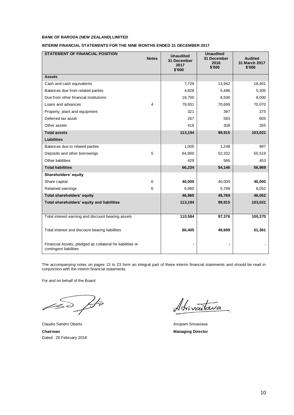#### **INTERIM FINANCIAL STATEMENTS FOR THE NINE MONTHS ENDED 31 DECEMBER 2017**

| <b>STATEMENT OF FINANCIAL POSITION</b>                                               | <b>Notes</b> | <b>Unaudited</b><br>31 December<br>2017<br>\$'000 | <b>Unaudited</b><br>31 December<br>2016<br>\$'000 | <b>Audited</b><br>31 March 2017<br>\$'000 |
|--------------------------------------------------------------------------------------|--------------|---------------------------------------------------|---------------------------------------------------|-------------------------------------------|
| <b>Assets</b>                                                                        |              |                                                   |                                                   |                                           |
| Cash and cash equivalents                                                            |              | 7,729                                             | 13,942                                            | 18,401                                    |
| Balances due from related parties                                                    |              | 4,828                                             | 5,486                                             | 5,305                                     |
| Due from other financial institutions                                                |              | 19,700                                            | 8,500                                             | 8,000                                     |
| Loans and advances                                                                   | 4            | 79,931                                            | 70,699                                            | 70,070                                    |
| Property, plant and equipment                                                        |              | 321                                               | 397                                               | 375                                       |
| Deferred tax asset                                                                   |              | 267                                               | 583                                               | 605                                       |
| Other assets                                                                         |              | 418                                               | 308                                               | 265                                       |
| <b>Total assets</b>                                                                  |              | 113,194                                           | 99,915                                            | 103,021                                   |
| <b>Liabilities</b>                                                                   |              |                                                   |                                                   |                                           |
| Balances due to related parties                                                      |              | 1,005                                             | 1,248                                             | 997                                       |
| Deposits and other borrowings                                                        | 5            | 64,800                                            | 52,332                                            | 55,519                                    |
| Other liabilities                                                                    |              | 429                                               | 566                                               | 453                                       |
| <b>Total liabilities</b>                                                             |              | 66,234                                            | 54,146                                            | 56,969                                    |
| Shareholders' equity                                                                 |              |                                                   |                                                   |                                           |
| Share capital                                                                        | 6            | 40,000                                            | 40,000                                            | 40,000                                    |
| Retained earnings                                                                    | 6            | 6,960                                             | 5,769                                             | 6,052                                     |
| Total shareholders' equity                                                           |              | 46,960                                            | 45,769                                            | 46,052                                    |
| Total shareholders' equity and liabilities                                           |              | 113,194                                           | 99,915                                            | 103,021                                   |
| Total interest earning and discount bearing assets                                   |              | 110,584                                           | 97,376                                            | 100,370                                   |
| Total interest and discount bearing liabilities                                      |              | 60,405                                            | 49,699                                            | 51,361                                    |
| Financial Assets, pledged as collateral for liabilities or<br>contingent liabilities |              |                                                   |                                                   |                                           |

The accompanying notes on pages 13 to 23 form an integral part of these interim financial statements and should be read in conjunction with the interim financial statements.

For and on behalf of the Board

ÞÞ  $\mathscr{B}$ 

Claudio Sandro Oberto **Anupam Srivastava** Anupam Srivastava **Chairman** Managing Director Dated: 26 February 2018

Adrivatava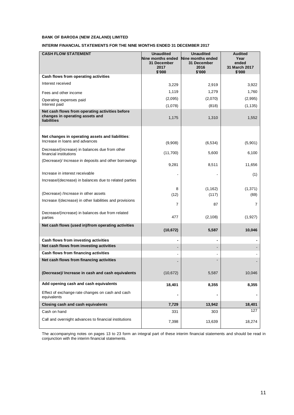## **INTERIM FINANCIAL STATEMENTS FOR THE NINE MONTHS ENDED 31 DECEMBER 2017**

| <b>CASH FLOW STATEMENT</b>                                                                               | <b>Unaudited</b><br>Nine months ended<br>31 December<br>2017<br>\$'000 | <b>Unaudited</b><br>Nine months ended<br>31 December<br>2016<br>\$'000 | <b>Audited</b><br>Year<br>ended<br>31 March 2017<br>\$'000 |
|----------------------------------------------------------------------------------------------------------|------------------------------------------------------------------------|------------------------------------------------------------------------|------------------------------------------------------------|
| Cash flows from operating activities                                                                     |                                                                        |                                                                        |                                                            |
| Interest received                                                                                        | 3,229                                                                  | 2,919                                                                  | 3,922                                                      |
| Fees and other income                                                                                    | 1,119                                                                  | 1,279                                                                  | 1,760                                                      |
| Operating expenses paid<br>Interest paid                                                                 | (2,095)<br>(1,078)                                                     | (2,070)<br>(818)                                                       | (2,995)<br>(1, 135)                                        |
| Net cash flows from operating activities before<br>changes in operating assets and<br><b>liabilities</b> | 1,175                                                                  | 1,310                                                                  | 1,552                                                      |
| Net changes in operating assets and liabilities:                                                         |                                                                        |                                                                        |                                                            |
| Increase in loans and advances                                                                           | (9,908)                                                                | (6, 534)                                                               | (5,901)                                                    |
| Decrease/(increase) in balances due from other<br>financial institutions                                 | (11,700)                                                               | 5,600                                                                  | 6,100                                                      |
| (Decrease)/ Increase in deposits and other borrowings                                                    | 9,281                                                                  | 8,511                                                                  | 11,656                                                     |
| Increase in interest receivable                                                                          |                                                                        |                                                                        | (1)                                                        |
| Increase/(decrease) in balances due to related parties                                                   |                                                                        |                                                                        |                                                            |
| (Decrease) /Increase in other assets                                                                     | 8<br>(12)                                                              | (1, 162)<br>(117)                                                      | (1, 371)<br>(69)                                           |
| Increase /(decrease) in other liabilities and provisions                                                 | 7                                                                      | 87                                                                     | 7                                                          |
| Decrease/(increase) in balances due from related<br>parties                                              | 477                                                                    | (2, 108)                                                               | (1,927)                                                    |
| Net cash flows (used in)/from operating activities                                                       | (10, 672)                                                              | 5,587                                                                  | 10,046                                                     |
| Cash flows from investing activities                                                                     | -                                                                      | -                                                                      |                                                            |
| Net cash flows from investing activities                                                                 |                                                                        | -                                                                      |                                                            |
| Cash flows from financing activities                                                                     |                                                                        | $\blacksquare$                                                         |                                                            |
| Net cash flows from financing activities                                                                 |                                                                        | $\overline{a}$                                                         |                                                            |
| (Decrease)/ Increase in cash and cash equivalents                                                        | (10, 672)                                                              | 5,587                                                                  | 10,046                                                     |
| Add opening cash and cash equivalents                                                                    | 18,401                                                                 | 8,355                                                                  | 8,355                                                      |
| Effect of exchange rate changes on cash and cash<br>equivalents                                          |                                                                        | -                                                                      |                                                            |
| Closing cash and cash equivalents                                                                        | 7,729                                                                  | 13,942                                                                 | 18,401                                                     |
| Cash on hand                                                                                             | 331                                                                    | 303                                                                    | 127                                                        |
| Call and overnight advances to financial institutions                                                    | 7,398                                                                  | 13,639                                                                 | 18,274                                                     |

The accompanying notes on pages 13 to 23 form an integral part of these interim financial statements and should be read in conjunction with the interim financial statements.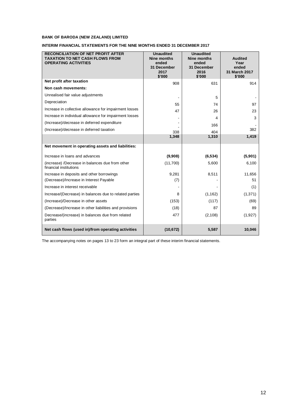## **INTERIM FINANCIAL STATEMENTS FOR THE NINE MONTHS ENDED 31 DECEMBER 2017**

| <b>RECONCILIATION OF NET PROFIT AFTER</b><br><b>TAXATION TO NET CASH FLOWS FROM</b><br><b>OPERATING ACTIVITIES</b> | <b>Unaudited</b><br><b>Nine months</b><br>ended<br>31 December<br>2017<br>\$'000 | <b>Unaudited</b><br><b>Nine months</b><br>ended<br>31 December<br>2016<br>\$'000 | <b>Audited</b><br>Year<br>ended<br>31 March 2017<br>\$'000 |
|--------------------------------------------------------------------------------------------------------------------|----------------------------------------------------------------------------------|----------------------------------------------------------------------------------|------------------------------------------------------------|
| Net profit after taxation                                                                                          | 908                                                                              | 631                                                                              | 914                                                        |
| Non cash movements:                                                                                                |                                                                                  |                                                                                  |                                                            |
| Unrealised fair value adjustments                                                                                  |                                                                                  | 5                                                                                |                                                            |
| Depreciation                                                                                                       | 55                                                                               | 74                                                                               | 97                                                         |
| Increase in collective allowance for impairment losses                                                             | 47                                                                               | 26                                                                               | 23                                                         |
| Increase in individual allowance for impairment losses                                                             |                                                                                  | 4                                                                                | 3                                                          |
| (Increase)/decrease in deferred expenditure                                                                        |                                                                                  | 166                                                                              |                                                            |
| (Increase)/decrease in deferred taxation                                                                           | 338                                                                              | 404                                                                              | 382                                                        |
|                                                                                                                    | 1,348                                                                            | 1,310                                                                            | 1,419                                                      |
| Net movement in operating assets and liabilities:                                                                  |                                                                                  |                                                                                  |                                                            |
| Increase in loans and advances                                                                                     | (9,908)                                                                          | (6, 534)                                                                         | (5,901)                                                    |
| (increase) /Decrease in balances due from other<br>financial institutions                                          | (11,700)                                                                         | 5,600                                                                            | 6,100                                                      |
| Increase in deposits and other borrowings                                                                          | 9,281                                                                            | 8,511                                                                            | 11,656                                                     |
| (Decrease)/Increase in Interest Payable                                                                            | (7)                                                                              |                                                                                  | 51                                                         |
| Increase in interest receivable                                                                                    |                                                                                  |                                                                                  | (1)                                                        |
| Increase/(Decrease) in balances due to related parties                                                             | 8                                                                                | (1, 162)                                                                         | (1, 371)                                                   |
| (Increase)/Decrease in other assets                                                                                | (153)                                                                            | (117)                                                                            | (69)                                                       |
| (Decrease)/Increase in other liabilities and provisions                                                            | (18)                                                                             | 87                                                                               | 89                                                         |
| Decrease/(increase) in balances due from related<br>parties                                                        | 477                                                                              | (2, 108)                                                                         | (1,927)                                                    |
| Net cash flows (used in)/from operating activities                                                                 | (10, 672)                                                                        | 5,587                                                                            | 10,046                                                     |

The accompanying notes on pages 13 to 23 form an integral part of these interim financial statements.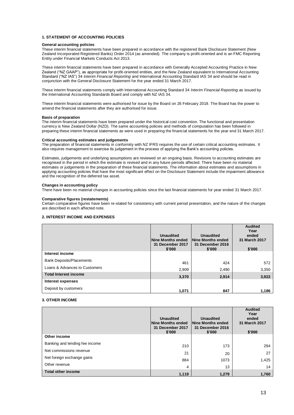#### **1. STATEMENT OF ACCOUNTING POLICIES**

#### **General accounting policies**

These interim financial statements have been prepared in accordance with the registered Bank Disclosure Statement (New Zealand Incorporated Registered Banks) Order 2014 (as amended). The company is profit-oriented and is an FMC Reporting Entity under Financial Markets Conducts Act 2013.

These interim financial statements have been prepared in accordance with Generally Accepted Accounting Practice in New Zealand ("NZ GAAP"), as appropriate for profit-oriented entities, and the New Zealand equivalent to International Accounting Standard ("NZ IAS") 34 *Interim Financial Reporting* and International Accounting Standard IAS 34 and should be read in conjunction with the General Disclosure Statement for the year ended 31 March 2017.

These interim financial statements comply with International Accounting Standard 34 *Interim Financial Reporting* as issued by the International Accounting Standards Board and comply with NZ IAS 34.

These interim financial statements were authorised for issue by the Board on 26 February 2018. The Board has the power to amend the financial statements after they are authorised for issue.

#### **Basis of preparation**

The interim financial statements have been prepared under the historical cost convention. The functional and presentation currency is New Zealand Dollar (NZD). The same accounting policies and methods of computation has been followed in preparing these interim financial statements as were used in preparing the financial statements for the year end 31 March 2017.

#### **Critical accounting estimates and judgements**

The preparation of financial statements in conformity with NZ IFRS requires the use of certain critical accounting estimates. It also requires management to exercise its judgement in the process of applying the Bank's accounting policies.

Estimates, judgements and underlying assumptions are reviewed on an ongoing basis. Revisions to accounting estimates are recognised in the period in which the estimate is revised and in any future periods affected. There have been no material estimates or judgements in the preparation of these financial statements. The information about estimates and assumptions in applying accounting policies that have the most significant effect on the Disclosure Statement include the impairment allowance and the recognition of the deferred tax asset.

#### **Changes in accounting policy**

There have been no material changes in accounting policies since the last financial statements for year ended 31 March 2017.

#### **Comparative figures (restatements)**

Certain comparative figures have been re-stated for consistency with current period presentation, and the nature of the changes are described in each affected note.

#### **2. INTEREST INCOME AND EXPENSES**

|                                 | <b>Unaudited</b><br>Nine Months ended<br>31 December 2017<br>\$'000 | <b>Unaudited</b><br>Nine Months ended<br>31 December 2016<br>\$'000 | <b>Audited</b><br>Year<br>ended<br>31 March 2017<br>\$'000 |
|---------------------------------|---------------------------------------------------------------------|---------------------------------------------------------------------|------------------------------------------------------------|
| Interest income                 |                                                                     |                                                                     |                                                            |
| <b>Bank Deposits/Placements</b> | 461                                                                 | 424                                                                 | 572                                                        |
| Loans & Advances to Customers   | 2,909                                                               | 2,490                                                               | 3,350                                                      |
| <b>Total Interest income</b>    | 3,370                                                               | 2,914                                                               | 3,922                                                      |
| Interest expenses               |                                                                     |                                                                     |                                                            |
| Deposit by customers            | 1.071                                                               | 847                                                                 | 1,186                                                      |

#### **3. OTHER INCOME**

|                                | <b>Unaudited</b><br>Nine Months ended<br>31 December 2017<br>\$'000 | <b>Unaudited</b><br>Nine Months ended<br>31 December 2016<br>\$'000 | <b>Audited</b><br>Year<br>ended<br>31 March 2017<br>\$'000 |
|--------------------------------|---------------------------------------------------------------------|---------------------------------------------------------------------|------------------------------------------------------------|
| Other income                   |                                                                     |                                                                     |                                                            |
| Banking and lending fee income | 210                                                                 | 173                                                                 | 294                                                        |
| Net commissions revenue        | 21                                                                  | 20                                                                  | 27                                                         |
| Net foreign exchange gains     | 884                                                                 | 1073                                                                | 1,425                                                      |
| Other revenue                  | 4                                                                   | 13                                                                  | 14                                                         |
| <b>Total other income</b>      | 1,119                                                               | 1,279                                                               | 1,760                                                      |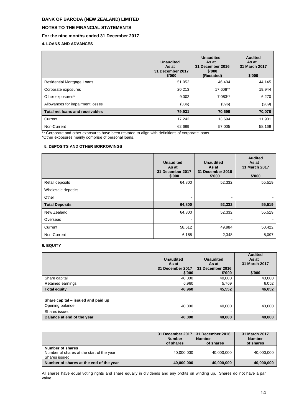# **NOTES TO THE FINANCIAL STATEMENTS**

# **For the nine months ended 31 December 2017**

**4. LOANS AND ADVANCES**

|                                   | <b>Unaudited</b><br>As at<br>31 December 2017<br>\$'000 | <b>Unaudited</b><br>As at<br>31 December 2016<br>\$'000<br>(Restated) | <b>Audited</b><br>As at<br>31 March 2017<br>\$'000 |
|-----------------------------------|---------------------------------------------------------|-----------------------------------------------------------------------|----------------------------------------------------|
| <b>Residential Mortgage Loans</b> | 51,052                                                  | 46,404                                                                | 44,145                                             |
| Corporate exposures               | 20,213                                                  | 17,608**                                                              | 19,944                                             |
| Other exposures*                  | 9,002                                                   | 7,083**                                                               | 6,270                                              |
| Allowances for impairment losses  | (336)                                                   | (396)                                                                 | (289)                                              |
| Total net loans and receivables   | 79,931                                                  | 70,699                                                                | 70,070                                             |
| Current                           | 17,242                                                  | 13,694                                                                | 11,901                                             |
| Non-Current                       | 62,689                                                  | 57,005                                                                | 58,169                                             |

\*\* Corporate and other exposures have been restated to align with definitions of corporate loans.

\*Other exposures mainly comprise of personal loans.

## **5. DEPOSITS AND OTHER BORROWINGS**

|                       | <b>Unaudited</b><br>As at<br>31 December 2017<br>\$'000 | <b>Unaudited</b><br>As at<br>31 December 2016<br>\$'000 | <b>Audited</b><br>As at<br>31 March 2017<br>\$'000 |
|-----------------------|---------------------------------------------------------|---------------------------------------------------------|----------------------------------------------------|
| Retail deposits       | 64,800                                                  | 52,332                                                  | 55,519                                             |
| Wholesale deposits    |                                                         |                                                         |                                                    |
| Other                 | $\overline{\phantom{a}}$                                |                                                         |                                                    |
| <b>Total Deposits</b> | 64,800                                                  | 52,332                                                  | 55,519                                             |
| New Zealand           | 64,800                                                  | 52,332                                                  | 55,519                                             |
| Overseas              |                                                         |                                                         |                                                    |
| Current               | 58,612                                                  | 49,984                                                  | 50,422                                             |
| Non-Current           | 6,188                                                   | 2,348                                                   | 5,097                                              |

## **6. EQUITY**

|                                                                        | <b>Unaudited</b><br>As at<br>31 December 2017<br>\$'000 | <b>Unaudited</b><br>As at<br><b>31 December 2016</b><br>\$'000 | <b>Audited</b><br>As at<br>31 March 2017<br>\$'000 |
|------------------------------------------------------------------------|---------------------------------------------------------|----------------------------------------------------------------|----------------------------------------------------|
| Share capital                                                          | 40,000                                                  | 40,000                                                         | 40,000                                             |
| Retained earnings                                                      | 6,960                                                   | 5,769                                                          | 6,052                                              |
| <b>Total equity</b>                                                    | 46,960                                                  | 45,552                                                         | 46,052                                             |
| Share capital – issued and paid up<br>Opening balance<br>Shares issued | 40.000<br>$\overline{\phantom{a}}$                      | 40.000                                                         | 40.000                                             |
| Balance at end of the year                                             | 40,000                                                  | 40,000                                                         | 40,000                                             |

|                                                                                | 31 December 2017<br><b>Number</b><br>of shares | 31 December 2016<br><b>Number</b><br>of shares | 31 March 2017<br><b>Number</b><br>of shares |
|--------------------------------------------------------------------------------|------------------------------------------------|------------------------------------------------|---------------------------------------------|
| Number of shares<br>Number of shares at the start of the year<br>Shares issued | 40,000,000                                     | 40,000,000                                     | 40,000,000                                  |
| Number of shares at the end of the year                                        | 40,000,000                                     | 40,000,000                                     | 40,000,000                                  |

All shares have equal voting rights and share equally in dividends and any profits on winding up. Shares do not have a par value.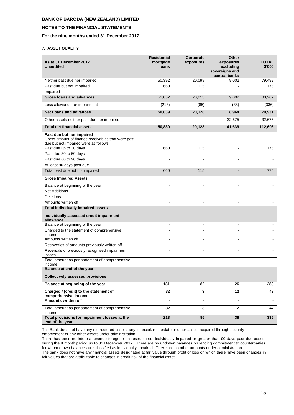## **NOTES TO THE FINANCIAL STATEMENTS**

## **For the nine months ended 31 December 2017**

#### **7. ASSET QUALITY**

| As at 31 December 2017<br><b>Unaudited</b>                                                                                                         | <b>Residential</b><br>mortgage<br>loans | Corporate<br>exposures | <b>Other</b><br>exposures<br>excluding<br>sovereigns and<br>central banks | <b>TOTAL</b><br>\$'000 |
|----------------------------------------------------------------------------------------------------------------------------------------------------|-----------------------------------------|------------------------|---------------------------------------------------------------------------|------------------------|
| Neither past due nor impaired                                                                                                                      | 50,392                                  | 20,098                 | 9,002                                                                     | 79,492                 |
| Past due but not impaired                                                                                                                          | 660                                     | 115                    |                                                                           | 775                    |
| Impaired                                                                                                                                           |                                         |                        |                                                                           |                        |
| <b>Gross loans and advances</b>                                                                                                                    | 51,052                                  | 20,213                 | 9,002                                                                     | 80,267                 |
| Less allowance for impairment                                                                                                                      | (213)                                   | (85)                   | (38)                                                                      | (336)                  |
| <b>Net Loans and advances</b>                                                                                                                      | 50,839                                  | 20,128                 | 8,964                                                                     | 79,931                 |
| Other assets neither past due nor impaired                                                                                                         |                                         |                        | 32,675                                                                    | 32,675                 |
| <b>Total net financial assets</b>                                                                                                                  | 50,839                                  | 20,128                 | 41,639                                                                    | 112,606                |
| Past due but not impaired<br>Gross amount of finance receivables that were past<br>due but not impaired were as follows:<br>Past due up to 30 days | 660                                     | 115                    |                                                                           | 775                    |
| Past due 30 to 60 days                                                                                                                             |                                         |                        |                                                                           |                        |
| Past due 60 to 90 days                                                                                                                             |                                         |                        |                                                                           |                        |
| At least 90 days past due                                                                                                                          |                                         |                        |                                                                           |                        |
| Total past due but not impaired                                                                                                                    | 660                                     | 115                    |                                                                           | 775                    |
| <b>Gross Impaired Assets</b>                                                                                                                       |                                         |                        |                                                                           |                        |
| Balance at beginning of the year                                                                                                                   |                                         |                        |                                                                           |                        |
| <b>Net Additions</b>                                                                                                                               |                                         |                        |                                                                           |                        |
| <b>Deletions</b>                                                                                                                                   |                                         |                        |                                                                           |                        |
| Amounts written off                                                                                                                                |                                         |                        |                                                                           |                        |
| <b>Total individually impaired assets</b>                                                                                                          |                                         |                        |                                                                           |                        |
| Individually assessed credit impairment<br>allowance                                                                                               |                                         |                        |                                                                           |                        |
| Balance at beginning of the year                                                                                                                   |                                         |                        |                                                                           |                        |
| Charged to the statement of comprehensive                                                                                                          |                                         |                        |                                                                           |                        |
| income                                                                                                                                             |                                         |                        |                                                                           |                        |
| Amounts written off                                                                                                                                |                                         |                        |                                                                           |                        |
| Recoveries of amounts previously written off<br>Reversals of previously recognised impairment                                                      |                                         |                        |                                                                           |                        |
| losses                                                                                                                                             |                                         |                        |                                                                           |                        |
| Total amount as per statement of comprehensive<br>income                                                                                           |                                         |                        |                                                                           |                        |
| Balance at end of the year                                                                                                                         |                                         |                        |                                                                           |                        |
| <b>Collectively assessed provisions</b>                                                                                                            |                                         |                        |                                                                           |                        |
| Balance at beginning of the year                                                                                                                   | 181                                     | 82                     | 26                                                                        | 289                    |
| Charged / (credit) to the statement of<br>comprehensive income                                                                                     | 32                                      | 3                      | 12                                                                        | 47                     |
| Amounts written off                                                                                                                                |                                         |                        |                                                                           |                        |
| Total amount as per statement of comprehensive                                                                                                     | 32                                      | 3                      | 12                                                                        | 47                     |
| income<br>Total provisions for impairment losses at the<br>end of the year                                                                         | 213                                     | 85                     | 38                                                                        | 336                    |

The Bank does not have any restructured assets, any financial, real estate or other assets acquired through security enforcement or any other assets under administration.

There has been no interest revenue foregone on restructured, individually impaired or greater than 90 days past due assets during the 9 month period up to 31 December 2017. There are no undrawn balances on lending commitment to counterparties for whom drawn balances are classified as individually impaired. There are no other amounts under administration.

The bank does not have any financial assets designated at fair value through profit or loss on which there have been changes in fair values that are attributable to changes in credit risk of the financial asset.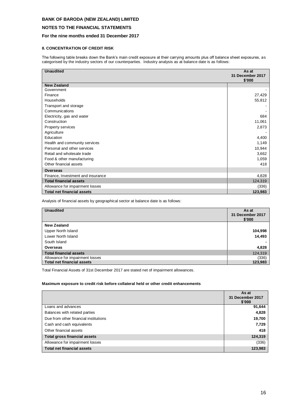## **NOTES TO THE FINANCIAL STATEMENTS**

## **For the nine months ended 31 December 2017**

## **8. CONCENTRATION OF CREDIT RISK**

The following table breaks down the Bank's main credit exposure at their carrying amounts plus off balance sheet exposures, as categorised by the industry sectors of our counterparties. Industry analysis as at balance date is as follows:

| <b>Unaudited</b>                  | As at<br>31 December 2017<br>\$'000 |
|-----------------------------------|-------------------------------------|
| New Zealand                       |                                     |
| Government                        |                                     |
| Finance                           | 27,429                              |
| Households                        | 55,812                              |
| Transport and storage             |                                     |
| Communications                    |                                     |
| Electricity, gas and water        | 684                                 |
| Construction                      | 11,061                              |
| Property services                 | 2,873                               |
| Agriculture                       |                                     |
| Education                         | 4,400                               |
| Health and community services     | 1,149                               |
| Personal and other services       | 10,944                              |
| Retail and wholesale trade        | 3,662                               |
| Food & other manufacturing        | 1,059                               |
| Other financial assets            | 418                                 |
| <b>Overseas</b>                   |                                     |
| Finance, Investment and insurance | 4,828                               |
| <b>Total financial assets</b>     | 124,319                             |
| Allowance for impairment losses   | (336)                               |
| <b>Total net financial assets</b> | 123,983                             |

Analysis of financial assets by geographical sector at balance date is as follows:

| <b>Unaudited</b>                  | As at<br>31 December 2017<br>\$'000 |
|-----------------------------------|-------------------------------------|
| <b>New Zealand</b>                |                                     |
| Upper North Island                | 104,998                             |
| Lower North Island                | 14,493                              |
| South Island                      |                                     |
| Overseas                          | 4,828                               |
| <b>Total financial assets</b>     | 124,319                             |
| Allowance for impairment losses   | (336)                               |
| <b>Total net financial assets</b> | 123,983                             |

Total Financial Assets of 31st December 2017 are stated net of impairment allowances.

## **Maximum exposure to credit risk before collateral held or other credit enhancements**

|                                       | As at<br>31 December 2017<br>\$'000 |
|---------------------------------------|-------------------------------------|
| Loans and advances                    | 91,644                              |
| Balances with related parties         | 4,828                               |
| Due from other financial institutions | 19,700                              |
| Cash and cash equivalents             | 7,729                               |
| Other financial assets                | 418                                 |
| <b>Total gross financial assets</b>   | 124,319                             |
| Allowance for impairment losses       | (336)                               |
| <b>Total net financial assets</b>     | 123,983                             |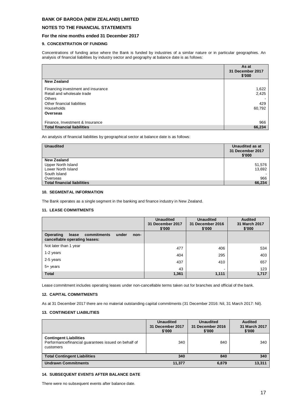## **NOTES TO THE FINANCIAL STATEMENTS**

## **For the nine months ended 31 December 2017**

## **9. CONCENTRATION OF FUNDING**

Concentrations of funding arise where the Bank is funded by industries of a similar nature or in particular geographies. An analysis of financial liabilities by industry sector and geography at balance date is as follows:

|                                    | As at<br>31 December 2017<br>\$'000 |
|------------------------------------|-------------------------------------|
| <b>New Zealand</b>                 |                                     |
| Financing investment and insurance | 1,622                               |
| Retail and wholesale trade         | 2,425                               |
| Others                             |                                     |
| Other financial liabilities        | 429                                 |
| Households                         | 60,792                              |
| Overseas                           |                                     |
|                                    |                                     |
| Finance, Investment & Insurance    | 966                                 |
| <b>Total financial liabilities</b> | 66,234                              |

An analysis of financial liabilities by geographical sector at balance date is as follows:

| <b>Unaudited</b>                   | Unaudited as at<br>31 December 2017<br>\$'000 |
|------------------------------------|-----------------------------------------------|
| New Zealand                        |                                               |
| Upper North Island                 | 51,576                                        |
| Lower North Island                 | 13,692                                        |
| South Island                       |                                               |
| Overseas                           | 966                                           |
| <b>Total financial liabilities</b> | 66,234                                        |

#### **10. SEGMENTAL INFORMATION**

The Bank operates as a single segment in the banking and finance industry in New Zealand.

#### **11. LEASE COMMITMENTS**

|                                                                                     | <b>Unaudited</b><br><b>Unaudited</b><br>31 December 2017<br>31 December 2016<br>\$'000<br>\$'000 |       | <b>Audited</b><br>31 March 2017<br>\$'000 |
|-------------------------------------------------------------------------------------|--------------------------------------------------------------------------------------------------|-------|-------------------------------------------|
| Operating<br>commitments<br>lease<br>under<br>non-<br>cancellable operating leases: |                                                                                                  |       |                                           |
| Not later than 1 year                                                               | 477                                                                                              | 406   | 534                                       |
| 1-2 years                                                                           | 404                                                                                              | 295   | 403                                       |
| 2-5 years                                                                           | 437                                                                                              | 410   | 657                                       |
| 5+ years                                                                            | 43                                                                                               |       | 123                                       |
| <b>Total</b>                                                                        | 1,361                                                                                            | 1,111 | 1,717                                     |

Lease commitment includes operating leases under non-cancellable terms taken out for branches and official of the bank.

#### **12. CAPITAL COMMITMENTS**

As at 31 December 2017 there are no material outstanding capital commitments (31 December 2016: Nil, 31 March 2017: Nil).

#### **13. CONTINGENT LIABILITIES**

|                                                                                                    | <b>Unaudited</b><br>31 December 2017<br>\$'000 | <b>Unaudited</b><br>31 December 2016<br>\$'000 | <b>Audited</b><br>31 March 2017<br>\$'000 |
|----------------------------------------------------------------------------------------------------|------------------------------------------------|------------------------------------------------|-------------------------------------------|
| <b>Contingent Liabilities</b><br>Performance/financial guarantees issued on behalf of<br>customers | 340                                            | 840                                            | 340                                       |
| <b>Total Contingent Liabilities</b>                                                                | 340                                            | 840                                            | 340                                       |
| <b>Undrawn Commitments</b>                                                                         | 11.377                                         | 6,879                                          | 13,311                                    |

## **14. SUBSEQUENT EVENTS AFTER BALANCE DATE**

There were no subsequent events after balance date.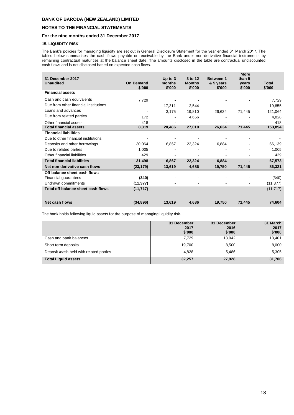## **NOTES TO THE FINANCIAL STATEMENTS**

## **For the nine months ended 31 December 2017**

## **15. LIQUIDITY RISK**

The Bank's policies for managing liquidity are set out in General Disclosure Statement for the year ended 31 March 2017. The tables below summarises the cash flows payable or receivable by the Bank under non-derivative financial instruments by remaining contractual maturities at the balance sheet date. The amounts disclosed in the table are contractual undiscounted cash flows and is not disclosed based on expected cash flows.

| 31 December 2017<br><b>Unaudited</b>  | <b>On Demand</b><br>\$'000 | Up to $3$<br>months<br>\$'000 | 3 to 12<br><b>Months</b><br>\$'000 | Between 1<br>& 5 years<br>\$'000 | <b>More</b><br>than 5<br>years<br>\$'000 | Total<br>\$'000 |
|---------------------------------------|----------------------------|-------------------------------|------------------------------------|----------------------------------|------------------------------------------|-----------------|
| <b>Financial assets</b>               |                            |                               |                                    |                                  |                                          |                 |
| Cash and cash equivalents             | 7,729                      |                               |                                    |                                  |                                          | 7,729           |
| Due from other financial institutions |                            | 17,311                        | 2,544                              |                                  |                                          | 19,855          |
| Loans and advances                    | $\overline{\phantom{a}}$   | 3,175                         | 19,810                             | 26,634                           | 71,445                                   | 121,064         |
| Due from related parties              | 172                        |                               | 4,656                              |                                  |                                          | 4,828           |
| Other financial assets                | 418                        |                               |                                    |                                  |                                          | 418             |
| <b>Total financial assets</b>         | 8,319                      | 20,486                        | 27,010                             | 26,634                           | 71,445                                   | 153,894         |
| <b>Financial liabilities</b>          |                            |                               |                                    |                                  |                                          |                 |
| Due to other financial institutions   |                            |                               |                                    |                                  |                                          |                 |
| Deposits and other borrowings         | 30.064                     | 6.867                         | 22.324                             | 6.884                            |                                          | 66,139          |
| Due to related parties                | 1,005                      |                               |                                    |                                  |                                          | 1.005           |
| Other financial liabilities           | 429                        | ٠                             |                                    |                                  |                                          | 429             |
| <b>Total financial liabilities</b>    | 31,498                     | 6,867                         | 22,324                             | 6,884                            |                                          | 67,573          |
| Net non derivative cash flows         | (23, 179)                  | 13,619                        | 4,686                              | 19,750                           | 71,445                                   | 86,321          |
| Off balance sheet cash flows          |                            |                               |                                    |                                  |                                          |                 |
| Financial guarantees                  | (340)                      |                               |                                    |                                  |                                          | (340)           |
| Undrawn commitments                   | (11, 377)                  |                               |                                    |                                  |                                          | (11, 377)       |
| Total off balance sheet cash flows    | (11, 717)                  |                               |                                    |                                  |                                          | (11, 717)       |
| Net cash flows                        | (34, 896)                  | 13,619                        | 4.686                              | 19,750                           | 71,445                                   | 74,604          |

The bank holds following liquid assets for the purpose of managing liquidity risk**.**

|                                          | 31 December<br>2017<br>\$'000 | 31 December<br>2016<br>\$'000 | 31 March<br>2017<br>\$'000 |
|------------------------------------------|-------------------------------|-------------------------------|----------------------------|
| Cash and bank balances                   | 7.729                         | 13,942                        | 18,401                     |
| Short term deposits                      | 19,700                        | 8,500                         | 8,000                      |
| Deposit / cash held with related parties | 4,828                         | 5,486                         | 5,305                      |
| <b>Total Liquid assets</b>               | 32,257                        | 27,928                        | 31,706                     |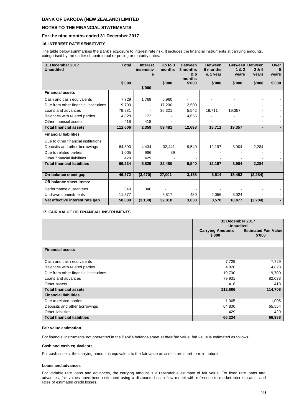## **NOTES TO THE FINANCIAL STATEMENTS**

## **For the nine months ended 31 December 2017**

## **16. INTEREST RATE SENSITIVITY**

The table below summarises the Bank's exposure to interest rate risk. It includes the financial instruments at carrying amounts, categorised by the earlier of contractual re-pricing or maturity dates.

| 31 December 2017<br><b>Unaudited</b>  | <b>Total</b> | <b>Interest</b><br>insensitiv<br>e | Up to $3$<br>months | <b>Between</b><br>3 months<br>& 6 | <b>Between</b><br>6 months<br>& 1 year | <b>Between</b><br>1&2<br>years | <b>Between</b><br>2 & 5<br>years | Over<br>5<br>vears |
|---------------------------------------|--------------|------------------------------------|---------------------|-----------------------------------|----------------------------------------|--------------------------------|----------------------------------|--------------------|
|                                       |              |                                    |                     | months                            |                                        |                                |                                  |                    |
|                                       | \$'000       |                                    | \$'000              | \$'000                            | \$'000                                 | \$'000                         | \$'000                           | \$'000             |
| <b>Financial assets</b>               |              | \$'000                             |                     |                                   |                                        |                                |                                  |                    |
|                                       |              |                                    |                     |                                   |                                        |                                |                                  |                    |
| Cash and cash equivalents             | 7,729        | 1,769                              | 5,960               |                                   |                                        |                                |                                  |                    |
| Due from other financial institutions | 19,700       |                                    | 17,200              | 2,500                             |                                        |                                |                                  |                    |
| Loans and advances                    | 79,931       |                                    | 36,321              | 5,542                             | 18,711                                 | 19,357                         |                                  |                    |
| Balances with related parties         | 4,828        | 172                                |                     | 4,656                             |                                        |                                |                                  |                    |
| Other financial assets                | 418          | 418                                |                     |                                   |                                        |                                | ۰                                |                    |
| <b>Total financial assets</b>         | 112,606      | 2,359                              | 59,481              | 12,698                            | 18,711                                 | 19,357                         | $\blacksquare$                   |                    |
| <b>Financial liabilities</b>          |              |                                    |                     |                                   |                                        |                                |                                  |                    |
| Due to other financial institutions   |              |                                    |                     |                                   |                                        |                                |                                  |                    |
| Deposits and other borrowings         | 64,800       | 4,434                              | 32,441              | 9,540                             | 12,197                                 | 3,904                          | 2,284                            |                    |
| Due to related parties                | 1,005        | 966                                | 39                  |                                   |                                        |                                |                                  |                    |
| Other financial liabilities           | 429          | 429                                |                     |                                   |                                        |                                |                                  |                    |
| <b>Total financial liabilities</b>    | 66,234       | 5,829                              | 32,480              | 9,540                             | 12,197                                 | 3,904                          | 2,284                            |                    |
|                                       |              |                                    |                     |                                   |                                        |                                |                                  |                    |
| On-balance sheet gap                  | 46,372       | (3, 470)                           | 27,001              | 3,158                             | 6,514                                  | 15,453                         | (2, 284)                         |                    |
| Off balance sheet items:              |              |                                    |                     |                                   |                                        |                                |                                  |                    |
| Performance guarantees                | 340          | 340                                |                     |                                   |                                        |                                |                                  |                    |
| Undrawn commitments                   | 11,377       |                                    | 5,817               | 480                               | 2,056                                  | 3,024                          |                                  |                    |
| Net effective interest rate gap       | 58,089       | (3, 130)                           | 32,818              | 3,638                             | 8,570                                  | 18,477                         | (2, 284)                         |                    |

#### **17. FAIR VALUE OF FINANCIAL INSTRUMENTS**

|                                       | 31 December 2017<br><b>Unaudited</b> |                                       |  |
|---------------------------------------|--------------------------------------|---------------------------------------|--|
|                                       | <b>Carrying Amounts</b><br>\$'000    | <b>Estimated Fair Value</b><br>\$'000 |  |
|                                       |                                      |                                       |  |
| <b>Financial assets</b>               |                                      |                                       |  |
|                                       |                                      |                                       |  |
| Cash and cash equivalents             | 7,729                                | 7,729                                 |  |
| Balances with related parties         | 4,828                                | 4,828                                 |  |
| Due from other financial institutions | 19,700                               | 19,700                                |  |
| Loans and advances                    | 79,931                               | 82,033                                |  |
| Other assets                          | 418                                  | 418                                   |  |
| <b>Total financial assets</b>         | 112,606                              | 114,708                               |  |
| <b>Financial liabilities</b>          |                                      |                                       |  |
| Due to related parties                | 1,005                                | 1,005                                 |  |
| Deposits and other borrowings         | 64,800                               | 65,554                                |  |
| Other liabilities                     | 429                                  | 429                                   |  |
| <b>Total financial liabilities</b>    | 66,234                               | 66,988                                |  |

#### **Fair value estimation**

For financial instruments not presented in the Bank's balance sheet at their fair value, fair value is estimated as follows:

#### **Cash and cash equivalents**

For cash assets, the carrying amount is equivalent to the fair value as assets are short term in nature.

#### **Loans and advances**

For variable rate loans and advances, the carrying amount is a reasonable estimate of fair value. For fixed rate loans and advances, fair values have been estimated using a discounted cash flow model with reference to market interest rates, and rates of estimated credit losses.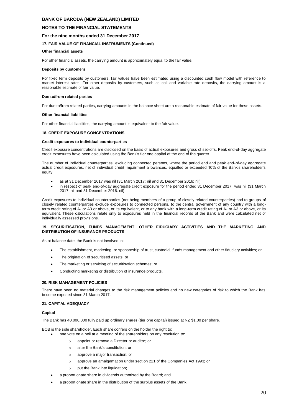#### **NOTES TO THE FINANCIAL STATEMENTS**

#### **For the nine months ended 31 December 2017**

#### **17. FAIR VALUE OF FINANCIAL INSTRUMENTS (Continued)**

#### **Other financial assets**

For other financial assets, the carrying amount is approximately equal to the fair value.

#### **Deposits by customers**

For fixed term deposits by customers, fair values have been estimated using a discounted cash flow model with reference to market interest rates. For other deposits by customers, such as call and variable rate deposits, the carrying amount is a reasonable estimate of fair value.

#### **Due to/from related parties**

For due to/from related parties, carrying amounts in the balance sheet are a reasonable estimate of fair value for these assets.

#### **Other financial liabilities**

For other financial liabilities, the carrying amount is equivalent to the fair value.

#### **18. CREDIT EXPOSURE CONCENTRATIONS**

#### **Credit exposures to individual counterparties**

Credit exposure concentrations are disclosed on the basis of actual exposures and gross of set-offs. Peak end-of-day aggregate credit exposures have been calculated using the Bank's tier one capital at the end of the quarter.

The number of individual counterparties, excluding connected persons, where the period end and peak end-of-day aggregate actual credit exposures, net of individual credit impairment allowances, equalled or exceeded 10% of the Bank's shareholder's equity:

- as at 31 December 2017 was nil (31 March 2017: nil and 31 December 2016: nil)
- in respect of peak end-of-day aggregate credit exposure for the period ended 31 December 2017 was nil (31 March 2017: nil and 31 December 2016: nil)

Credit exposures to individual counterparties (not being members of a group of closely related counterparties) and to groups of closely related counterparties exclude exposures to connected persons, to the central government of any country with a longterm credit rating of A- or A3 or above, or its equivalent, or to any bank with a long-term credit rating of A- or A3 or above, or its equivalent. These calculations relate only to exposures held in the financial records of the Bank and were calculated net of individually assessed provisions.

#### **19. SECURITISATION, FUNDS MANAGEMENT, OTHER FIDUCIARY ACTIVITIES AND THE MARKETING AND DISTRIBUTION OF INSURANCE PRODUCTS**

As at balance date, the Bank is not involved in:

- The establishment, marketing, or sponsorship of trust, custodial, funds management and other fiduciary activities; or
- The origination of securitised assets; or
- The marketing or servicing of securitisation schemes; or
- Conducting marketing or distribution of insurance products.

#### **20. RISK MANAGEMENT POLICIES**

There have been no material changes to the risk management policies and no new categories of risk to which the Bank has become exposed since 31 March 2017.

#### **21. CAPITAL ADEQUACY**

#### **Capital**

The Bank has 40,000,000 fully paid up ordinary shares (tier one capital) issued at NZ \$1.00 per share.

BOB is the sole shareholder. Each share confers on the holder the right to:

- one vote on a poll at a meeting of the shareholders on any resolution to:
	- o appoint or remove a Director or auditor; or
	- o alter the Bank's constitution; or
	- o approve a major transaction; or
	- o approve an amalgamation under section 221 of the Companies Act 1993; or
	- o put the Bank into liquidation;
- a proportionate share in dividends authorised by the Board; and
- a proportionate share in the distribution of the surplus assets of the Bank.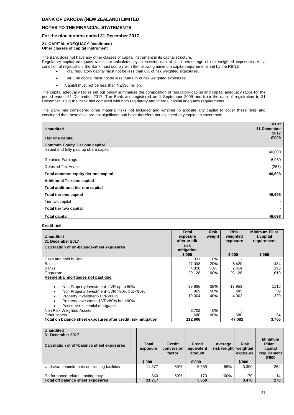## **NOTES TO THE FINANCIAL STATEMENTS**

## **For the nine months ended 31 December 2017**

#### **21. CAPITAL ADEQUACY (continued) Other classes of capital instrument**

The Bank does not have any other classes of capital instrument in its capital structure.

Regulatory capital adequacy ratios are calculated by expressing capital as a percentage of risk weighted exposures. As a condition of registration, the Bank must comply with the following minimum capital requirements set by the RBNZ:

- Total regulatory capital must not be less than 8% of risk weighted exposures.
- Tier One capital must not be less than 6% of risk weighted exposures.
- Capital must not be less than NZ\$30 million.

The capital adequacy tables set out below summarise the composition of regulatory capital and capital adequacy ratios for the period ended 31 December 2017. The Bank was registered on 1 September 2009 and from the date of registration to 31 December 2017; the Bank has complied with both regulatory and internal capital adequacy requirements.

The Bank has considered other material risks not included and whether to allocate any capital to cover these risks and concluded that these risks are not significant and have therefore not allocated any capital to cover them.

| <b>Unaudited</b><br>Tier one capital<br><b>Common Equity Tier one capital</b> | As at<br>31 December<br>2017<br>\$'000 |
|-------------------------------------------------------------------------------|----------------------------------------|
| Issued and fully paid up share capital                                        | 40,000                                 |
| <b>Retained Earnings</b>                                                      | 6,960                                  |
| Deferred Tax Assets                                                           | (267)                                  |
| Total common equity tier one capital                                          | 46,693                                 |
| <b>Additional Tier one capital</b>                                            |                                        |
| Total additional tier one capital                                             |                                        |
| Total tier one capital                                                        | 46,693                                 |
| Tier two capital                                                              |                                        |
| Total tier two capital                                                        |                                        |
| <b>Total capital</b>                                                          | 46,693                                 |

**Credit risk**

| <b>Unaudited</b><br>31 December 2017                          | Total<br>exposure<br>after credit | <b>Risk</b><br>weight | <b>Risk</b><br>weighted<br>exposure | <b>Minimum Pillar</b><br>1 capital<br>requirement |
|---------------------------------------------------------------|-----------------------------------|-----------------------|-------------------------------------|---------------------------------------------------|
| Calculation of on-balance-sheet exposures                     | risk<br>mitigation<br>\$'000      |                       | \$'000                              | \$'000                                            |
| Cash and gold bullion                                         | 331                               | 0%                    |                                     |                                                   |
| <b>Banks</b>                                                  | 27,098                            | 20%                   | 5,420                               | 434                                               |
| <b>Banks</b>                                                  | 4,828                             | 50%                   | 2,414                               | 193                                               |
| Corporate                                                     | 20,128                            | 100%                  | 20,128                              | 1,610                                             |
| Residential mortgages not past due                            |                                   |                       |                                     |                                                   |
| Non Property Investment-LVR up to 80%                         | 39,866                            | 35%                   | 13,953                              | 1116                                              |
| Non Property Investment-LVR >80% but <90%                     | 969                               | 50%                   | 485                                 | 39                                                |
| Property Investment-LVR<80%                                   | 10,004                            | 40%                   | 4,002                               | 320                                               |
| Property Investment-LVR>80% but <90%                          |                                   |                       |                                     |                                                   |
| Past due residential mortgages                                |                                   |                       |                                     |                                                   |
| Non Risk Weighted Assets                                      | 8,702                             | $0\%$                 |                                     |                                                   |
| Other assets                                                  | 680                               | 100%                  | 680                                 | 54                                                |
| Total on balance sheet exposures after credit risk mitigation | 112,606                           |                       | 47,082                              | 3,766                                             |

| <b>Unaudited</b><br>31 December 2017<br>Calculation of off-balance sheet exposures | <b>Total</b><br>exposure<br>\$'000 | <b>Credit</b><br>conversion<br>factor | <b>Credit</b><br>equivalent<br>amount<br>\$'000 | Average<br>risk weight | <b>Risk</b><br>weighted<br>exposure<br>\$'000 | <b>Minimum</b><br>Pillar 1<br>capital<br>requirement<br>\$'000 |
|------------------------------------------------------------------------------------|------------------------------------|---------------------------------------|-------------------------------------------------|------------------------|-----------------------------------------------|----------------------------------------------------------------|
| Undrawn commitments on existing facilities                                         | 11.377                             | 50%                                   | 5.689                                           | 58%                    | 3.300                                         | 264                                                            |
| Performance-related contingency                                                    | 340                                | 50%                                   | 170                                             | 100%                   | 170                                           | 14                                                             |
| Total off balance sheet exposures                                                  | 11,717                             |                                       | 5.859                                           |                        | 3.470                                         | 278                                                            |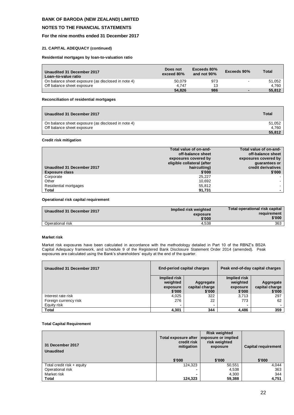## **NOTES TO THE FINANCIAL STATEMENTS**

## **For the nine months ended 31 December 2017**

#### **21. CAPITAL ADEQUACY (continued)**

**Residential mortgages by loan-to-valuation ratio**

| Unaudited 31 December 2017<br>Loan-to-value ratio  | Does not<br>exceed 80% | Exceeds 80%<br>and not 90% | Exceeds 90% | Total  |
|----------------------------------------------------|------------------------|----------------------------|-------------|--------|
| On balance sheet exposure (as disclosed in note 4) | 50.079                 | 973                        |             | 51.052 |
| Off balance sheet exposure                         | 4.747                  | 13                         |             | 4.760  |
|                                                    | 54.826                 | 986                        |             | 55.812 |

## **Reconciliation of residential mortgages**

| Unaudited 31 December 2017                         | Total  |
|----------------------------------------------------|--------|
| On balance sheet exposure (as disclosed in note 4) | 51.052 |
| Off balance sheet exposure                         | 4.760  |
|                                                    | 55.812 |

## **Credit risk mitigation**

| Unaudited 31 December 2017 | Total value of on-and-<br>off-balance sheet<br>exposures covered by<br>eligible collateral (after<br>haircutting) | Total value of on-and-<br>off-balance sheet<br>exposures covered by<br>quarantees or<br>credit derivatives |
|----------------------------|-------------------------------------------------------------------------------------------------------------------|------------------------------------------------------------------------------------------------------------|
| <b>Exposure class</b>      | \$'000                                                                                                            | \$'000                                                                                                     |
| Corporate                  | 25.227                                                                                                            |                                                                                                            |
| Other                      | 10.692                                                                                                            |                                                                                                            |
| Residential mortgages      | 55.812                                                                                                            |                                                                                                            |
| <b>Total</b>               | 91,731                                                                                                            |                                                                                                            |

#### **Operational risk capital requirement**

| Unaudited 31 December 2017 | Implied risk weighted<br>exposure<br>\$'000 | Total operational risk capital<br>requirement<br>\$'000 |
|----------------------------|---------------------------------------------|---------------------------------------------------------|
| Operational risk           | 4.538                                       | 363                                                     |

#### **Market risk**

Market risk exposures have been calculated in accordance with the methodology detailed in Part 10 of the RBNZ's BS2A Capital Adequacy framework, and schedule 9 of the Registered Bank Disclosure Statement Order 2014 (amended). Peak exposures are calculated using the Bank's shareholders' equity at the end of the quarter.

| Unaudited 31 December 2017 | <b>End-period capital charges</b> |                | Peak end-of-day capital charges |                |
|----------------------------|-----------------------------------|----------------|---------------------------------|----------------|
|                            | Implied risk                      |                | Implied risk                    |                |
|                            | weighted                          | Aggregate      | weighted                        | Aggregate      |
|                            | exposure                          | capital charge | exposure                        | capital charge |
|                            | \$'000                            | \$'000         | \$'000                          | \$'000         |
| Interest rate risk         | 4,025                             | 322            | 3,713                           | 297            |
| Foreign currency risk      | 276                               | 22             | 773                             | 62             |
| Equity risk                |                                   |                |                                 |                |
| <b>Total</b>               | 4,301                             | 344            | 4,486                           | 359            |

#### **Total Capital Requirement**

| 31 December 2017<br><b>Unaudited</b> | Total exposure after<br>credit risk<br>mitigation | <b>Risk weighted</b><br>exposure or implied<br>risk weighted<br>exposure | <b>Capital requirement</b> |
|--------------------------------------|---------------------------------------------------|--------------------------------------------------------------------------|----------------------------|
|                                      | \$'000                                            | \$'000                                                                   | \$'000                     |
| Total credit risk + equity           | 124,323                                           | 50,551                                                                   | 4.044                      |
| Operational risk                     | -                                                 | 4,538                                                                    | 363                        |
| Market risk                          | $\overline{\phantom{0}}$                          | 4,300                                                                    | 344                        |
| Total                                | 124,323                                           | 59,388                                                                   | 4,751                      |